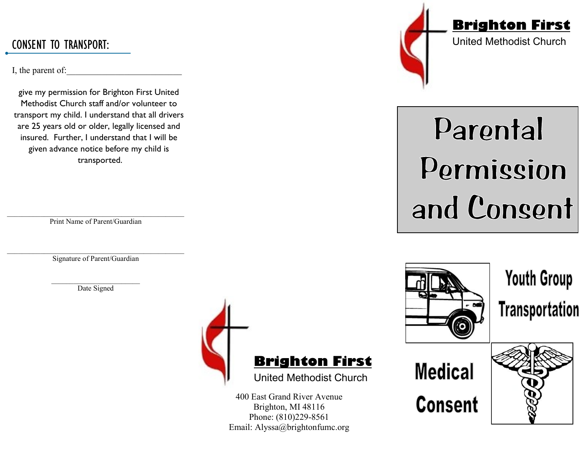I, the parent of:

give my permission for Brighton First United Methodist Church staff and/or volunteer to transport my child. I understand that all drivers are 25 years old or older, legally licensed and insured. Further, I understand that I will be given advance notice before my child is transported.

\_\_\_\_\_\_\_\_\_\_\_\_\_\_\_\_\_\_\_\_\_\_\_\_\_\_\_\_\_\_\_\_\_\_\_\_\_\_\_\_\_\_\_\_\_\_\_\_ Print Name of Parent/Guardian

 $\mathcal{L}_\text{max}$  and the contract of the contract of the contract of the contract of the contract of the contract of the contract of the contract of the contract of the contract of the contract of the contract of the contrac Signature of Parent/Guardian

> \_\_\_\_\_\_\_\_\_\_\_\_\_\_\_\_\_\_\_\_\_\_\_\_ Date Signed



Brighton, MI 48116 Phone: (810)229-8561



## Parental Permission and Consent